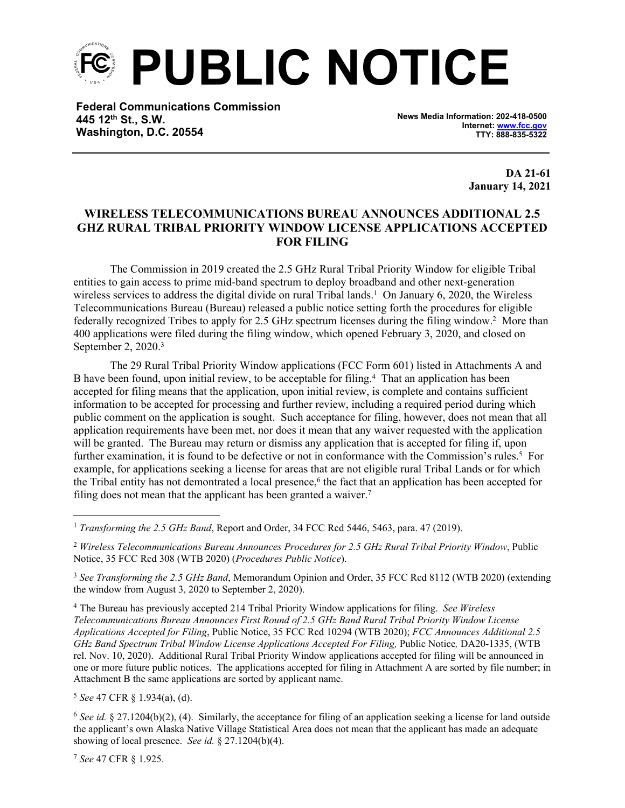**PUBLIC NOTICE**

**Federal Communications Commission 445 12th St., S.W. Washington, D.C. 20554**

**News Media Information: 202-418-0500 Internet: [www.fcc.gov](file:///C:/Users/craig.bomberger/AppData/Local/Microsoft/Windows/Temporary%20Internet%20Files/Content.Outlook/BCL5QM18/www.fcc.gov) TTY: 888-835-5322**

> **DA 21-61 January 14, 2021**

## **WIRELESS TELECOMMUNICATIONS BUREAU ANNOUNCES ADDITIONAL 2.5 GHZ RURAL TRIBAL PRIORITY WINDOW LICENSE APPLICATIONS ACCEPTED FOR FILING**

The Commission in 2019 created the 2.5 GHz Rural Tribal Priority Window for eligible Tribal entities to gain access to prime mid-band spectrum to deploy broadband and other next-generation wireless services to address the digital divide on rural Tribal lands.<sup>1</sup> On January 6, 2020, the Wireless Telecommunications Bureau (Bureau) released a public notice setting forth the procedures for eligible federally recognized Tribes to apply for 2.5 GHz spectrum licenses during the filing window.<sup>2</sup> More than 400 applications were filed during the filing window, which opened February 3, 2020, and closed on September 2, 2020.<sup>3</sup>

The 29 Rural Tribal Priority Window applications (FCC Form 601) listed in Attachments A and B have been found, upon initial review, to be acceptable for filing.<sup>4</sup> That an application has been accepted for filing means that the application, upon initial review, is complete and contains sufficient information to be accepted for processing and further review, including a required period during which public comment on the application is sought. Such acceptance for filing, however, does not mean that all application requirements have been met, nor does it mean that any waiver requested with the application will be granted. The Bureau may return or dismiss any application that is accepted for filing if, upon further examination, it is found to be defective or not in conformance with the Commission's rules.<sup>5</sup> For example, for applications seeking a license for areas that are not eligible rural Tribal Lands or for which the Tribal entity has not demontrated a local presence,<sup>6</sup> the fact that an application has been accepted for filing does not mean that the applicant has been granted a waiver.<sup>7</sup>

<sup>3</sup> *See Transforming the 2.5 GHz Band*, Memorandum Opinion and Order, 35 FCC Rcd 8112 (WTB 2020) (extending the window from August 3, 2020 to September 2, 2020).

<sup>4</sup> The Bureau has previously accepted 214 Tribal Priority Window applications for filing. *See Wireless Telecommunications Bureau Announces First Round of 2.5 GHz Band Rural Tribal Priority Window License Applications Accepted for Filing*, Public Notice, 35 FCC Rcd 10294 (WTB 2020); *FCC Announces Additional 2.5 GHz Band Spectrum Tribal Window License Applications Accepted For Filing, Public Notice, DA20-1335, (WTB* rel. Nov. 10, 2020). Additional Rural Tribal Priority Window applications accepted for filing will be announced in one or more future public notices. The applications accepted for filing in Attachment A are sorted by file number; in Attachment B the same applications are sorted by applicant name.

<sup>5</sup> *See* 47 CFR § 1.934(a), (d).

<sup>6</sup> *See id.* § 27.1204(b)(2), (4). Similarly, the acceptance for filing of an application seeking a license for land outside the applicant's own Alaska Native Village Statistical Area does not mean that the applicant has made an adequate showing of local presence. *See id.* § 27.1204(b)(4).

<sup>7</sup> *See* 47 CFR § 1.925.

<sup>1</sup> *Transforming the 2.5 GHz Band*, Report and Order, 34 FCC Rcd 5446, 5463, para. 47 (2019).

<sup>2</sup> *Wireless Telecommunications Bureau Announces Procedures for 2.5 GHz Rural Tribal Priority Window*, Public Notice, 35 FCC Rcd 308 (WTB 2020) (*Procedures Public Notice*).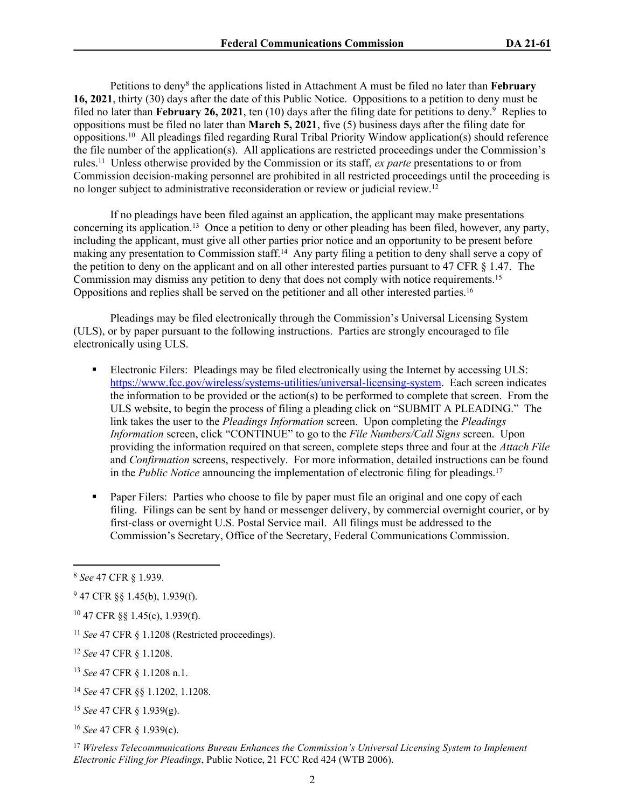Petitions to deny<sup>8</sup> the applications listed in Attachment A must be filed no later than **February 16, 2021**, thirty (30) days after the date of this Public Notice. Oppositions to a petition to deny must be filed no later than February 26, 2021, ten (10) days after the filing date for petitions to deny.<sup>9</sup> Replies to oppositions must be filed no later than **March 5, 2021**, five (5) business days after the filing date for oppositions.<sup>10</sup> All pleadings filed regarding Rural Tribal Priority Window application(s) should reference the file number of the application(s). All applications are restricted proceedings under the Commission's rules.<sup>11</sup> Unless otherwise provided by the Commission or its staff, *ex parte* presentations to or from Commission decision-making personnel are prohibited in all restricted proceedings until the proceeding is no longer subject to administrative reconsideration or review or judicial review.<sup>12</sup>

If no pleadings have been filed against an application, the applicant may make presentations concerning its application.<sup>13</sup> Once a petition to deny or other pleading has been filed, however, any party, including the applicant, must give all other parties prior notice and an opportunity to be present before making any presentation to Commission staff.<sup>14</sup> Any party filing a petition to deny shall serve a copy of the petition to deny on the applicant and on all other interested parties pursuant to 47 CFR § 1.47. The Commission may dismiss any petition to deny that does not comply with notice requirements.<sup>15</sup> Oppositions and replies shall be served on the petitioner and all other interested parties.<sup>16</sup>

Pleadings may be filed electronically through the Commission's Universal Licensing System (ULS), or by paper pursuant to the following instructions. Parties are strongly encouraged to file electronically using ULS.

- Electronic Filers: Pleadings may be filed electronically using the Internet by accessing ULS: <https://www.fcc.gov/wireless/systems-utilities/universal-licensing-system>. Each screen indicates the information to be provided or the action(s) to be performed to complete that screen. From the ULS website, to begin the process of filing a pleading click on "SUBMIT A PLEADING." The link takes the user to the *Pleadings Information* screen. Upon completing the *Pleadings Information* screen, click "CONTINUE" to go to the *File Numbers/Call Signs* screen. Upon providing the information required on that screen, complete steps three and four at the *Attach File* and *Confirmation* screens, respectively. For more information, detailed instructions can be found in the *Public Notice* announcing the implementation of electronic filing for pleadings.<sup>17</sup>
- **Paper Filers:** Parties who choose to file by paper must file an original and one copy of each filing. Filings can be sent by hand or messenger delivery, by commercial overnight courier, or by first-class or overnight U.S. Postal Service mail. All filings must be addressed to the Commission's Secretary, Office of the Secretary, Federal Communications Commission.

<sup>8</sup> *See* 47 CFR § 1.939.

 $947$  CFR §§ 1.45(b), 1.939(f).

<sup>10</sup> 47 CFR §§ 1.45(c), 1.939(f).

<sup>11</sup> *See* 47 CFR § 1.1208 (Restricted proceedings).

<sup>12</sup> *See* 47 CFR § 1.1208.

<sup>13</sup> *See* 47 CFR § 1.1208 n.1.

<sup>14</sup> *See* 47 CFR §§ 1.1202, 1.1208.

<sup>15</sup> *See* 47 CFR § 1.939(g).

<sup>16</sup> *See* 47 CFR § 1.939(c).

<sup>17</sup> *Wireless Telecommunications Bureau Enhances the Commission's Universal Licensing System to Implement Electronic Filing for Pleadings*, Public Notice, 21 FCC Rcd 424 (WTB 2006).